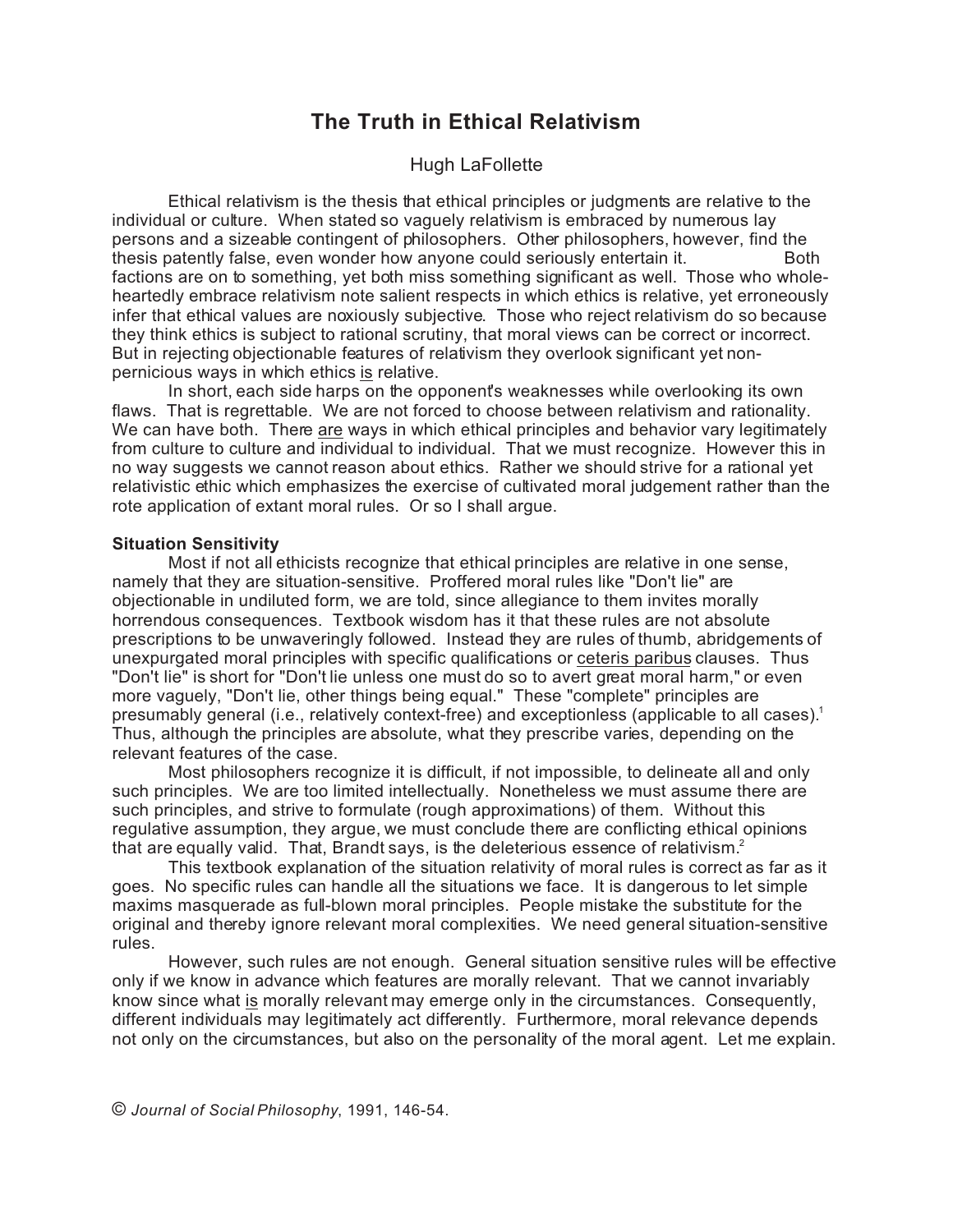# **The Truth in Ethical Relativism**

# Hugh LaFollette

Ethical relativism is the thesis that ethical principles or judgments are relative to the individual or culture. When stated so vaguely relativism is embraced by numerous lay persons and a sizeable contingent of philosophers. Other philosophers, however, find the thesis patently false, even wonder how anyone could seriously entertain it. Both factions are on to something, yet both miss something significant as well. Those who wholeheartedly embrace relativism note salient respects in which ethics is relative, yet erroneously infer that ethical values are noxiously subjective. Those who reject relativism do so because they think ethics is subject to rational scrutiny, that moral views can be correct or incorrect. But in rejecting objectionable features of relativism they overlook significant yet nonpernicious ways in which ethics is relative.

In short, each side harps on the opponent's weaknesses while overlooking its own flaws. That is regrettable. We are not forced to choose between relativism and rationality. We can have both. There are ways in which ethical principles and behavior vary legitimately from culture to culture and individual to individual. That we must recognize. However this in no way suggests we cannot reason about ethics. Rather we should strive for a rational yet relativistic ethic which emphasizes the exercise of cultivated moral judgement rather than the rote application of extant moral rules. Or so I shall argue.

# **Situation Sensitivity**

Most if not all ethicists recognize that ethical principles are relative in one sense, namely that they are situation-sensitive. Proffered moral rules like "Don't lie" are objectionable in undiluted form, we are told, since allegiance to them invites morally horrendous consequences. Textbook wisdom has it that these rules are not absolute prescriptions to be unwaveringly followed. Instead they are rules of thumb, abridgements of unexpurgated moral principles with specific qualifications or ceteris paribus clauses. Thus "Don't lie" is short for "Don't lie unless one must do so to avert great moral harm," or even more vaguely, "Don't lie, other things being equal." These "complete" principles are presumably general (i.e., relatively context-free) and exceptionless (applicable to all cases).<sup>1</sup> Thus, although the principles are absolute, what they prescribe varies, depending on the relevant features of the case.

Most philosophers recognize it is difficult, if not impossible, to delineate all and only such principles. We are too limited intellectually. Nonetheless we must assume there are such principles, and strive to formulate (rough approximations) of them. Without this regulative assumption, they argue, we must conclude there are conflicting ethical opinions that are equally valid. That, Brandt says, is the deleterious essence of relativism. $2$ 

This textbook explanation of the situation relativity of moral rules is correct as far as it goes. No specific rules can handle all the situations we face. It is dangerous to let simple maxims masquerade as full-blown moral principles. People mistake the substitute for the original and thereby ignore relevant moral complexities. We need general situation-sensitive rules.

However, such rules are not enough. General situation sensitive rules will be effective only if we know in advance which features are morally relevant. That we cannot invariably know since what is morally relevant may emerge only in the circumstances. Consequently, different individuals may legitimately act differently. Furthermore, moral relevance depends not only on the circumstances, but also on the personality of the moral agent. Let me explain.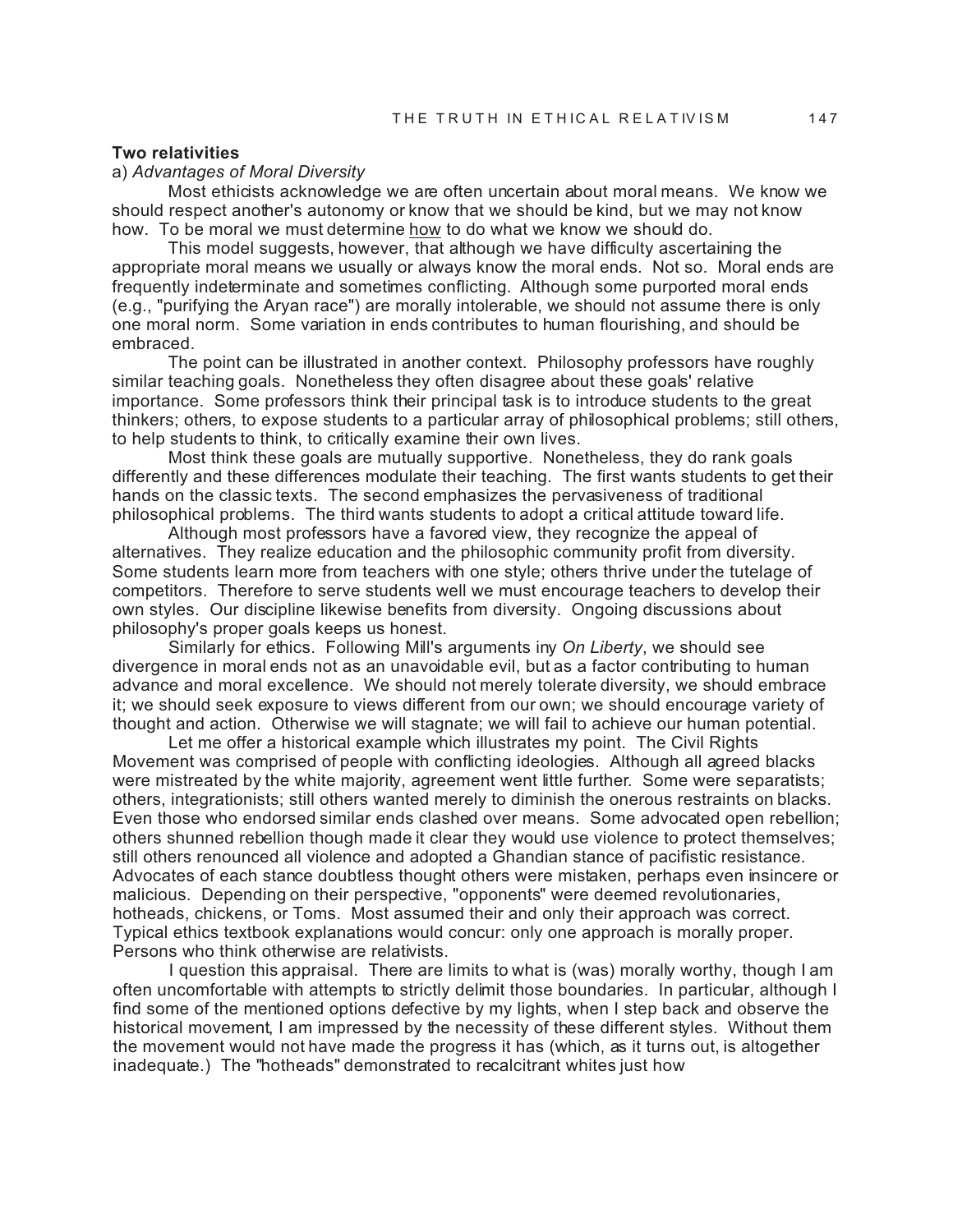# **Two relativities**

#### a) *Advantages of Moral Diversity*

Most ethicists acknowledge we are often uncertain about moral means. We know we should respect another's autonomy or know that we should be kind, but we may not know how. To be moral we must determine how to do what we know we should do.

This model suggests, however, that although we have difficulty ascertaining the appropriate moral means we usually or always know the moral ends. Not so. Moral ends are frequently indeterminate and sometimes conflicting. Although some purported moral ends (e.g., "purifying the Aryan race") are morally intolerable, we should not assume there is only one moral norm. Some variation in ends contributes to human flourishing, and should be embraced.

The point can be illustrated in another context. Philosophy professors have roughly similar teaching goals. Nonetheless they often disagree about these goals' relative importance. Some professors think their principal task is to introduce students to the great thinkers; others, to expose students to a particular array of philosophical problems; still others, to help students to think, to critically examine their own lives.

Most think these goals are mutually supportive. Nonetheless, they do rank goals differently and these differences modulate their teaching. The first wants students to get their hands on the classic texts. The second emphasizes the pervasiveness of traditional philosophical problems. The third wants students to adopt a critical attitude toward life.

Although most professors have a favored view, they recognize the appeal of alternatives. They realize education and the philosophic community profit from diversity. Some students learn more from teachers with one style; others thrive under the tutelage of competitors. Therefore to serve students well we must encourage teachers to develop their own styles. Our discipline likewise benefits from diversity. Ongoing discussions about philosophy's proper goals keeps us honest.

Similarly for ethics. Following Mill's arguments iny *On Liberty*, we should see divergence in moral ends not as an unavoidable evil, but as a factor contributing to human advance and moral excellence. We should not merely tolerate diversity, we should embrace it; we should seek exposure to views different from our own; we should encourage variety of thought and action. Otherwise we will stagnate; we will fail to achieve our human potential.

Let me offer a historical example which illustrates my point. The Civil Rights Movement was comprised of people with conflicting ideologies. Although all agreed blacks were mistreated by the white majority, agreement went little further. Some were separatists: others, integrationists; still others wanted merely to diminish the onerous restraints on blacks. Even those who endorsed similar ends clashed over means. Some advocated open rebellion; others shunned rebellion though made it clear they would use violence to protect themselves; still others renounced all violence and adopted a Ghandian stance of pacifistic resistance. Advocates of each stance doubtless thought others were mistaken, perhaps even insincere or malicious. Depending on their perspective, "opponents" were deemed revolutionaries, hotheads, chickens, or Toms. Most assumed their and only their approach was correct. Typical ethics textbook explanations would concur: only one approach is morally proper. Persons who think otherwise are relativists.

I question this appraisal. There are limits to what is (was) morally worthy, though I am often uncomfortable with attempts to strictly delimit those boundaries. In particular, although I find some of the mentioned options defective by my lights, when I step back and observe the historical movement, I am impressed by the necessity of these different styles. Without them the movement would not have made the progress it has (which, as it turns out, is altogether inadequate.) The "hotheads" demonstrated to recalcitrant whites just how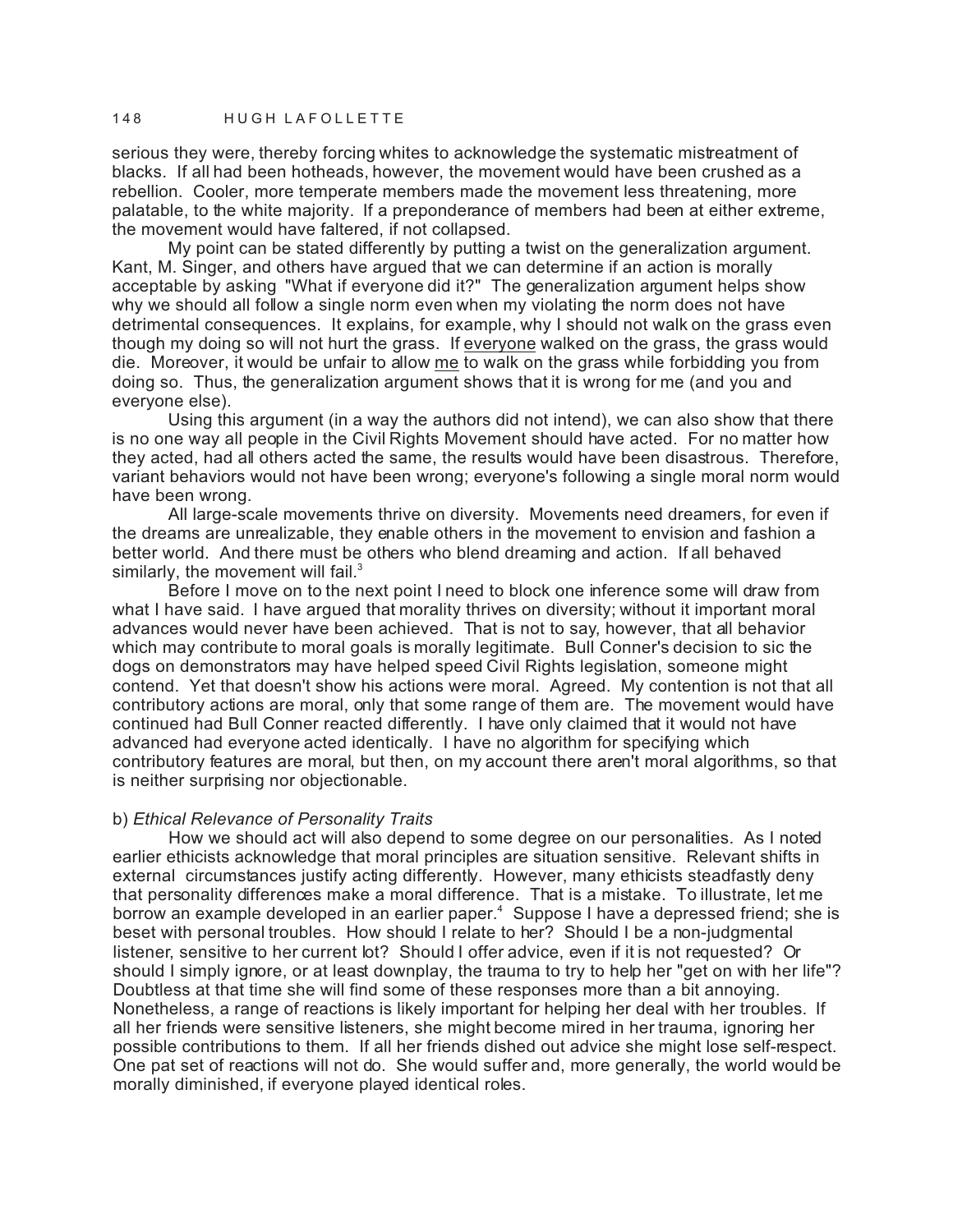serious they were, thereby forcing whites to acknowledge the systematic mistreatment of blacks. If all had been hotheads, however, the movement would have been crushed as a rebellion. Cooler, more temperate members made the movement less threatening, more palatable, to the white majority. If a preponderance of members had been at either extreme, the movement would have faltered, if not collapsed.

My point can be stated differently by putting a twist on the generalization argument. Kant, M. Singer, and others have argued that we can determine if an action is morally acceptable by asking "What if everyone did it?" The generalization argument helps show why we should all follow a single norm even when my violating the norm does not have detrimental consequences. It explains, for example, why I should not walk on the grass even though my doing so will not hurt the grass. If everyone walked on the grass, the grass would die. Moreover, it would be unfair to allow me to walk on the grass while forbidding you from doing so. Thus, the generalization argument shows that it is wrong for me (and you and everyone else).

Using this argument (in a way the authors did not intend), we can also show that there is no one way all people in the Civil Rights Movement should have acted. For no matter how they acted, had all others acted the same, the results would have been disastrous. Therefore, variant behaviors would not have been wrong; everyone's following a single moral norm would have been wrong.

All large-scale movements thrive on diversity. Movements need dreamers, for even if the dreams are unrealizable, they enable others in the movement to envision and fashion a better world. And there must be others who blend dreaming and action. If all behaved similarly, the movement will fail. $3$ 

Before I move on to the next point I need to block one inference some will draw from what I have said. I have argued that morality thrives on diversity; without it important moral advances would never have been achieved. That is not to say, however, that all behavior which may contribute to moral goals is morally legitimate. Bull Conner's decision to sic the dogs on demonstrators may have helped speed Civil Rights legislation, someone might contend. Yet that doesn't show his actions were moral. Agreed. My contention is not that all contributory actions are moral, only that some range of them are. The movement would have continued had Bull Conner reacted differently. I have only claimed that it would not have advanced had everyone acted identically. I have no algorithm for specifying which contributory features are moral, but then, on my account there aren't moral algorithms, so that is neither surprising nor objectionable.

# b) *Ethical Relevance of Personality Traits*

How we should act will also depend to some degree on our personalities. As I noted earlier ethicists acknowledge that moral principles are situation sensitive. Relevant shifts in external circumstances justify acting differently. However, many ethicists steadfastly deny that personality differences make a moral difference. That is a mistake. To illustrate, let me borrow an example developed in an earlier paper.<sup>4</sup> Suppose I have a depressed friend; she is beset with personal troubles. How should I relate to her? Should I be a non-judgmental listener, sensitive to her current lot? Should I offer advice, even if it is not requested? Or should I simply ignore, or at least downplay, the trauma to try to help her "get on with her life"? Doubtless at that time she will find some of these responses more than a bit annoying. Nonetheless, a range of reactions is likely important for helping her deal with her troubles. If all her friends were sensitive listeners, she might become mired in her trauma, ignoring her possible contributions to them. If all her friends dished out advice she might lose self-respect. One pat set of reactions will not do. She would suffer and, more generally, the world would be morally diminished, if everyone played identical roles.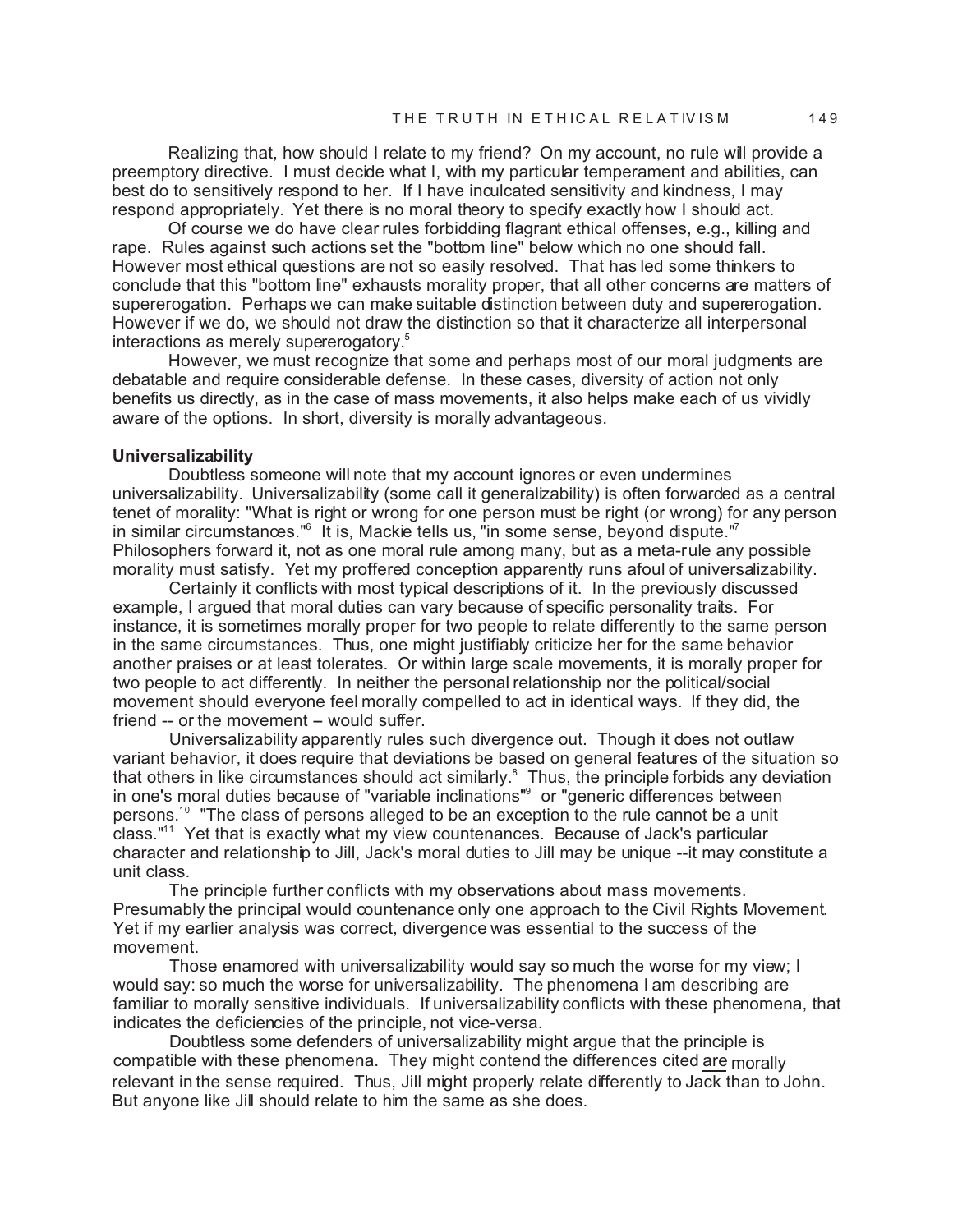Realizing that, how should I relate to my friend? On my account, no rule will provide a preemptory directive. I must decide what I, with my particular temperament and abilities, can best do to sensitively respond to her. If I have inculcated sensitivity and kindness, I may respond appropriately. Yet there is no moral theory to specify exactly how I should act.

Of course we do have clear rules forbidding flagrant ethical offenses, e.g., killing and rape. Rules against such actions set the "bottom line" below which no one should fall. However most ethical questions are not so easily resolved. That has led some thinkers to conclude that this "bottom line" exhausts morality proper, that all other concerns are matters of supererogation. Perhaps we can make suitable distinction between duty and supererogation. However if we do, we should not draw the distinction so that it characterize all interpersonal interactions as merely supererogatory.<sup>5</sup>

However, we must recognize that some and perhaps most of our moral judgments are debatable and require considerable defense. In these cases, diversity of action not only benefits us directly, as in the case of mass movements, it also helps make each of us vividly aware of the options. In short, diversity is morally advantageous.

### **Universalizability**

Doubtless someone will note that my account ignores or even undermines universalizability. Universalizability (some call it generalizability) is often forwarded as a central tenet of morality: "What is right or wrong for one person must be right (or wrong) for any person in similar circumstances."<sup>6</sup> It is, Mackie tells us, "in some sense, beyond dispute."<sup>7</sup> Philosophers forward it, not as one moral rule among many, but as a meta-rule any possible morality must satisfy. Yet my proffered conception apparently runs afoul of universalizability.

Certainly it conflicts with most typical descriptions of it. In the previously discussed example, I argued that moral duties can vary because of specific personality traits. For instance, it is sometimes morally proper for two people to relate differently to the same person in the same circumstances. Thus, one might justifiably criticize her for the same behavior another praises or at least tolerates. Or within large scale movements, it is morally proper for two people to act differently. In neither the personal relationship nor the political/social movement should everyone feel morally compelled to act in identical ways. If they did, the friend -- or the movement - would suffer.

Universalizability apparently rules such divergence out. Though it does not outlaw variant behavior, it does require that deviations be based on general features of the situation so that others in like circumstances should act similarly.<sup>8</sup> Thus, the principle forbids any deviation in one's moral duties because of "variable inclinations"<sup>9</sup> or "generic differences between persons.<sup>10</sup> "The class of persons alleged to be an exception to the rule cannot be a unit class."<sup>11</sup> Yet that is exactly what my view countenances. Because of Jack's particular character and relationship to Jill, Jack's moral duties to Jill may be unique --it may constitute a unit class.

The principle further conflicts with my observations about mass movements. Presumably the principal would countenance only one approach to the Civil Rights Movement. Yet if my earlier analysis was correct, divergence was essential to the success of the movement.

Those enamored with universalizability would say so much the worse for my view; I would say: so much the worse for universalizability. The phenomena I am describing are familiar to morally sensitive individuals. If universalizability conflicts with these phenomena, that indicates the deficiencies of the principle, not vice-versa.

Doubtless some defenders of universalizability might argue that the principle is compatible with these phenomena. They might contend the differences cited are morally relevant in the sense required. Thus, Jill might properly relate differently to Jack than to John. But anyone like Jill should relate to him the same as she does.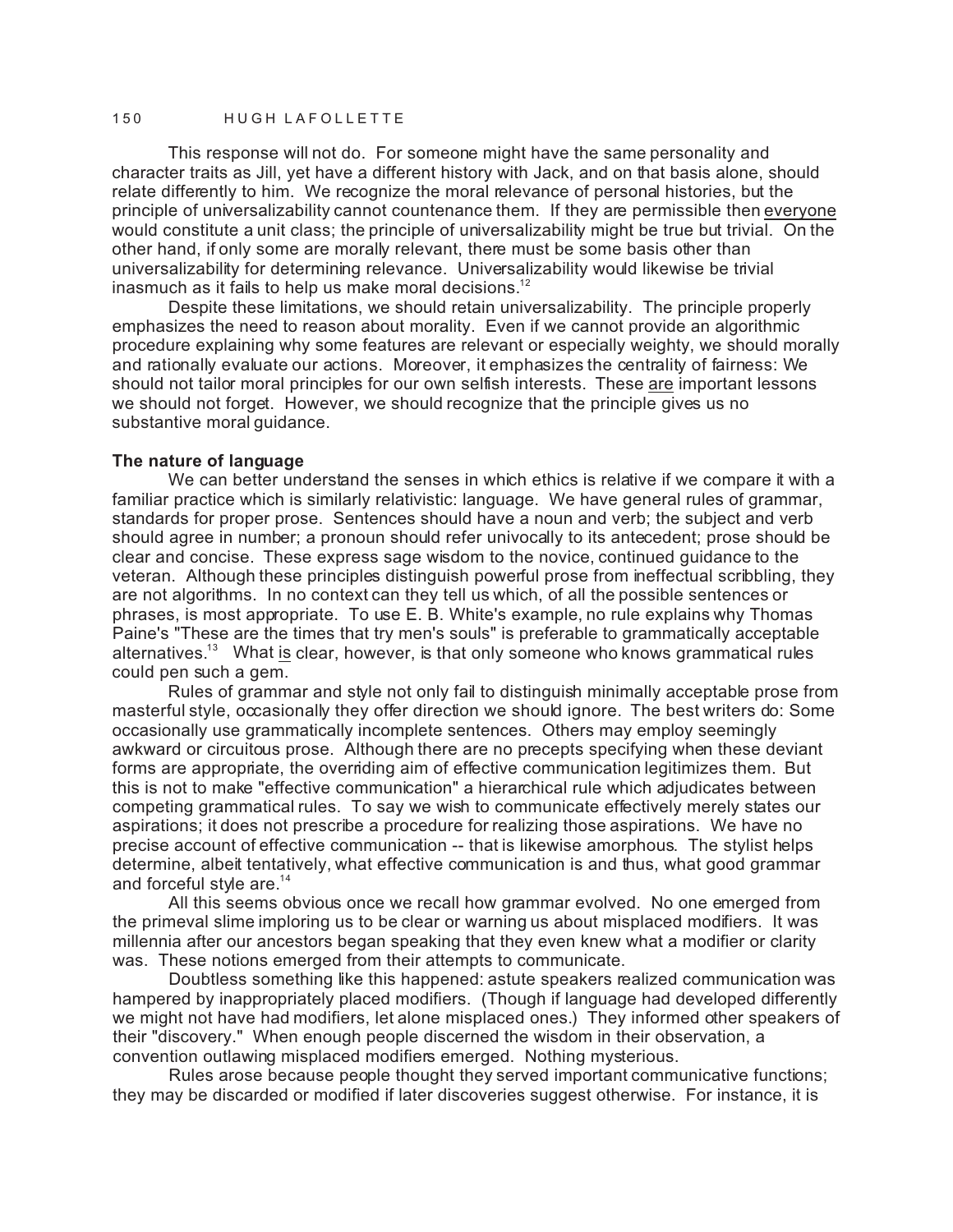# 150 HUGH LAFOLLETTE

This response will not do. For someone might have the same personality and character traits as Jill, yet have a different history with Jack, and on that basis alone, should relate differently to him. We recognize the moral relevance of personal histories, but the principle of universalizability cannot countenance them. If they are permissible then everyone would constitute a unit class; the principle of universalizability might be true but trivial. On the other hand, if only some are morally relevant, there must be some basis other than universalizability for determining relevance. Universalizability would likewise be trivial inasmuch as it fails to help us make moral decisions.<sup>12</sup>

Despite these limitations, we should retain universalizability. The principle properly emphasizes the need to reason about morality. Even if we cannot provide an algorithmic procedure explaining why some features are relevant or especially weighty, we should morally and rationally evaluate our actions. Moreover, it emphasizes the centrality of fairness: We should not tailor moral principles for our own selfish interests. These are important lessons we should not forget. However, we should recognize that the principle gives us no substantive moral guidance.

# **The nature of language**

We can better understand the senses in which ethics is relative if we compare it with a familiar practice which is similarly relativistic: language. We have general rules of grammar, standards for proper prose. Sentences should have a noun and verb; the subject and verb should agree in number; a pronoun should refer univocally to its antecedent; prose should be clear and concise. These express sage wisdom to the novice, continued guidance to the veteran. Although these principles distinguish powerful prose from ineffectual scribbling, they are not algorithms. In no context can they tell us which, of all the possible sentences or phrases, is most appropriate. To use E. B. White's example, no rule explains why Thomas Paine's "These are the times that try men's souls" is preferable to grammatically acceptable alternatives.<sup>13</sup> What is clear, however, is that only someone who knows grammatical rules could pen such a gem.

Rules of grammar and style not only fail to distinguish minimally acceptable prose from masterful style, occasionally they offer direction we should ignore. The best writers do: Some occasionally use grammatically incomplete sentences. Others may employ seemingly awkward or circuitous prose. Although there are no precepts specifying when these deviant forms are appropriate, the overriding aim of effective communication legitimizes them. But this is not to make "effective communication" a hierarchical rule which adjudicates between competing grammatical rules. To say we wish to communicate effectively merely states our aspirations; it does not prescribe a procedure for realizing those aspirations. We have no precise account of effective communication -- that is likewise amorphous. The stylist helps determine, albeit tentatively, what effective communication is and thus, what good grammar and forceful style are.<sup>14</sup>

All this seems obvious once we recall how grammar evolved. No one emerged from the primeval slime imploring us to be clear or warning us about misplaced modifiers. It was millennia after our ancestors began speaking that they even knew what a modifier or clarity was. These notions emerged from their attempts to communicate.

Doubtless something like this happened: astute speakers realized communication was hampered by inappropriately placed modifiers. (Though if language had developed differently we might not have had modifiers, let alone misplaced ones.) They informed other speakers of their "discovery." When enough people discerned the wisdom in their observation, a convention outlawing misplaced modifiers emerged. Nothing mysterious.

Rules arose because people thought they served important communicative functions; they may be discarded or modified if later discoveries suggest otherwise. For instance, it is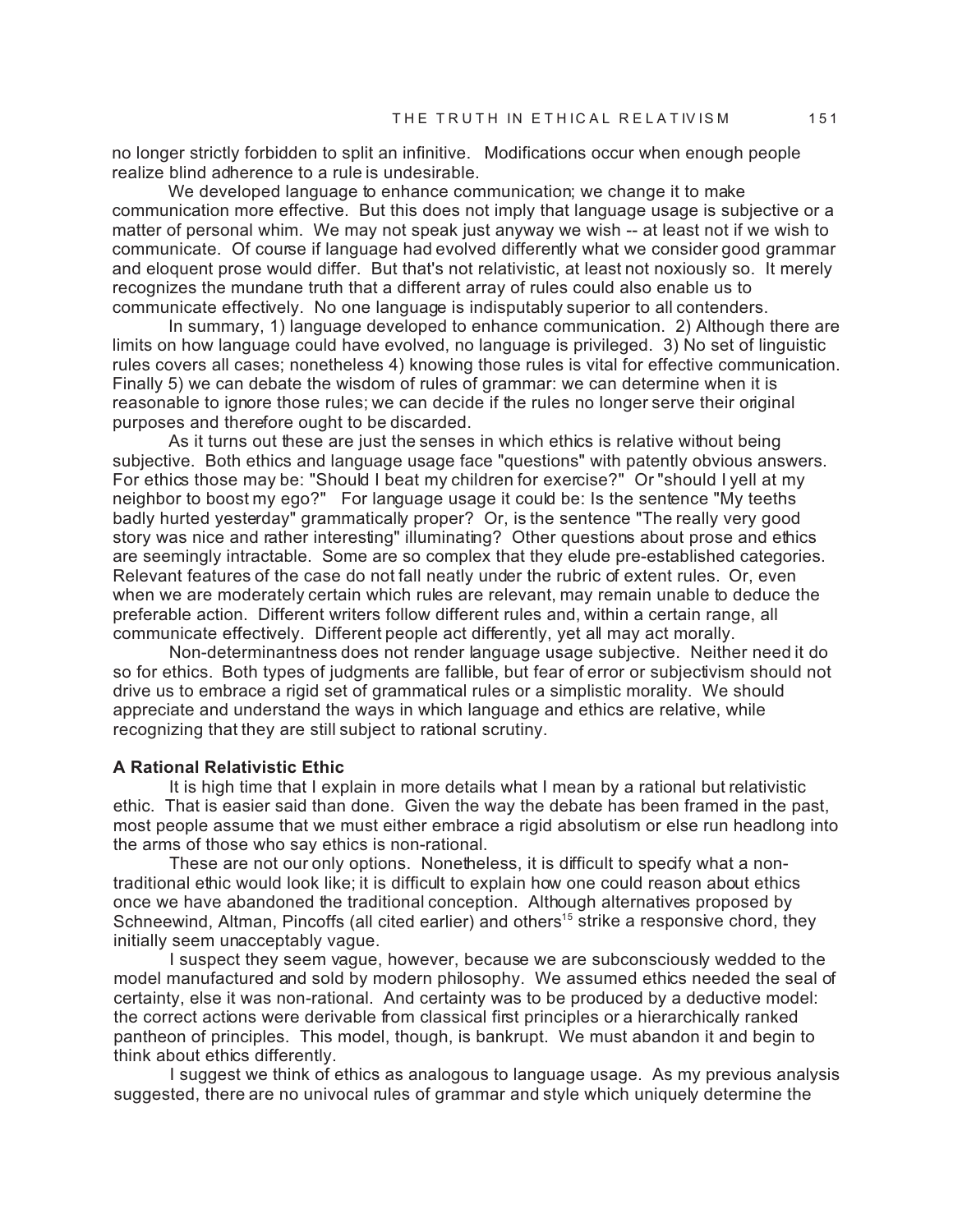no longer strictly forbidden to split an infinitive. Modifications occur when enough people realize blind adherence to a rule is undesirable.

We developed language to enhance communication; we change it to make communication more effective. But this does not imply that language usage is subjective or a matter of personal whim. We may not speak just anyway we wish -- at least not if we wish to communicate. Of course if language had evolved differently what we consider good grammar and eloquent prose would differ. But that's not relativistic, at least not noxiously so. It merely recognizes the mundane truth that a different array of rules could also enable us to communicate effectively. No one language is indisputably superior to all contenders.

In summary, 1) language developed to enhance communication. 2) Although there are limits on how language could have evolved, no language is privileged. 3) No set of linguistic rules covers all cases; nonetheless 4) knowing those rules is vital for effective communication. Finally 5) we can debate the wisdom of rules of grammar: we can determine when it is reasonable to ignore those rules; we can decide if the rules no longer serve their original purposes and therefore ought to be discarded.

As it turns out these are just the senses in which ethics is relative without being subjective. Both ethics and language usage face "questions" with patently obvious answers. For ethics those may be: "Should I beat my children for exercise?" Or "should I yell at my neighbor to boost my ego?" For language usage it could be: Is the sentence "My teeths badly hurted yesterday" grammatically proper? Or, is the sentence "The really very good story was nice and rather interesting" illuminating? Other questions about prose and ethics are seemingly intractable. Some are so complex that they elude pre-established categories. Relevant features of the case do not fall neatly under the rubric of extent rules. Or, even when we are moderately certain which rules are relevant, may remain unable to deduce the preferable action. Different writers follow different rules and, within a certain range, all communicate effectively. Different people act differently, yet all may act morally.

Non-determinantness does not render language usage subjective. Neither need it do so for ethics. Both types of judgments are fallible, but fear of error or subjectivism should not drive us to embrace a rigid set of grammatical rules or a simplistic morality. We should appreciate and understand the ways in which language and ethics are relative, while recognizing that they are still subject to rational scrutiny.

#### **A Rational Relativistic Ethic**

It is high time that I explain in more details what I mean by a rational but relativistic ethic. That is easier said than done. Given the way the debate has been framed in the past, most people assume that we must either embrace a rigid absolutism or else run headlong into the arms of those who say ethics is non-rational.

These are not our only options. Nonetheless, it is difficult to specify what a nontraditional ethic would look like; it is difficult to explain how one could reason about ethics once we have abandoned the traditional conception. Although alternatives proposed by Schneewind, Altman, Pincoffs (all cited earlier) and others<sup>15</sup> strike a responsive chord, they initially seem unacceptably vague.

I suspect they seem vague, however, because we are subconsciously wedded to the model manufactured and sold by modern philosophy. We assumed ethics needed the seal of certainty, else it was non-rational. And certainty was to be produced by a deductive model: the correct actions were derivable from classical first principles or a hierarchically ranked pantheon of principles. This model, though, is bankrupt. We must abandon it and begin to think about ethics differently.

I suggest we think of ethics as analogous to language usage. As my previous analysis suggested, there are no univocal rules of grammar and style which uniquely determine the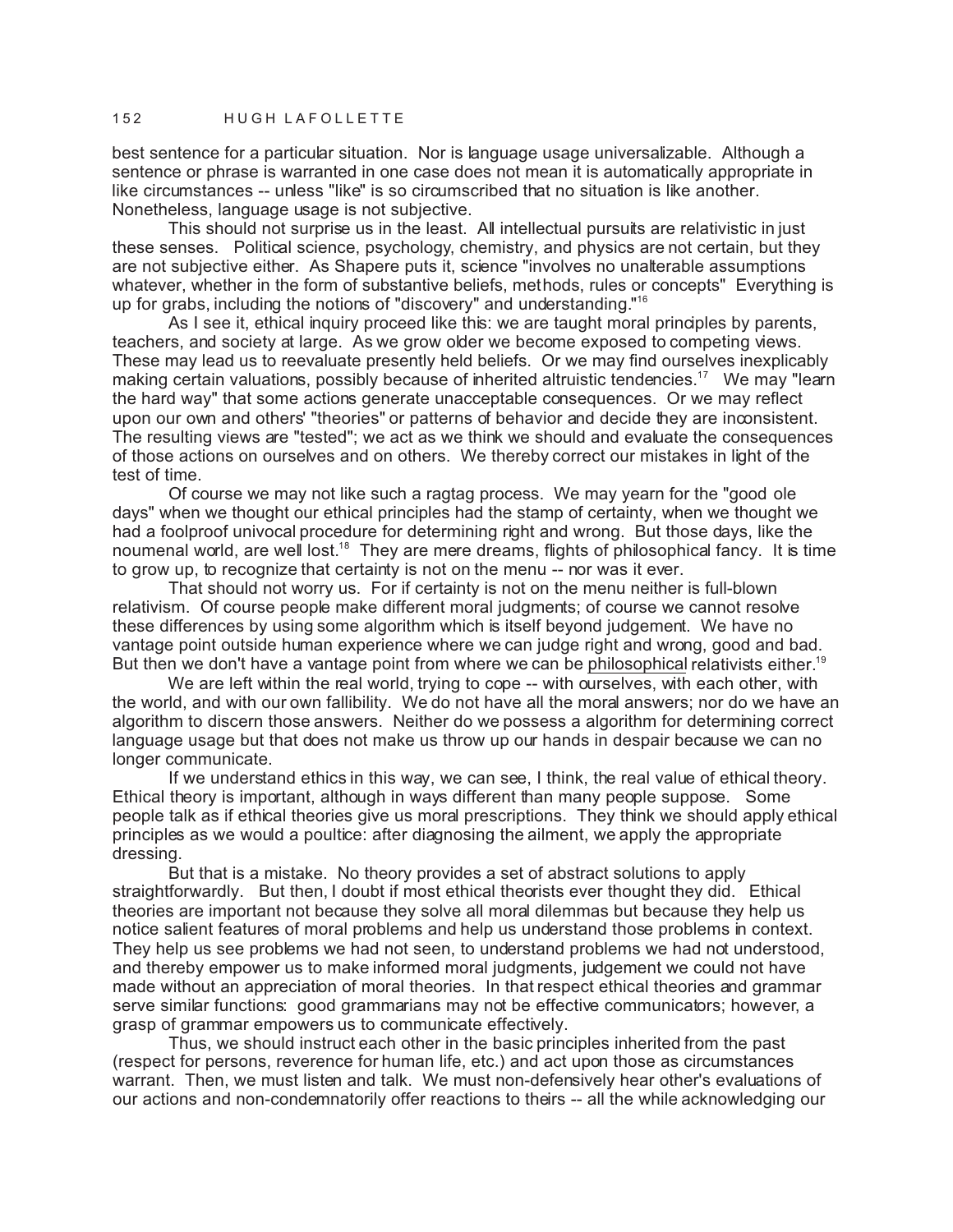## 152 HUGH LAFOLLETTE

best sentence for a particular situation. Nor is language usage universalizable. Although a sentence or phrase is warranted in one case does not mean it is automatically appropriate in like circumstances -- unless "like" is so circumscribed that no situation is like another. Nonetheless, language usage is not subjective.

This should not surprise us in the least. All intellectual pursuits are relativistic in just these senses. Political science, psychology, chemistry, and physics are not certain, but they are not subjective either. As Shapere puts it, science "involves no unalterable assumptions whatever, whether in the form of substantive beliefs, methods, rules or concepts" Everything is up for grabs, including the notions of "discovery" and understanding."<sup>16</sup>

As I see it, ethical inquiry proceed like this: we are taught moral principles by parents, teachers, and society at large. As we grow older we become exposed to competing views. These may lead us to reevaluate presently held beliefs. Or we may find ourselves inexplicably making certain valuations, possibly because of inherited altruistic tendencies.<sup>17</sup> We may "learn the hard way" that some actions generate unacceptable consequences. Or we may reflect upon our own and others' "theories" or patterns of behavior and decide they are inconsistent. The resulting views are "tested"; we act as we think we should and evaluate the consequences of those actions on ourselves and on others. We thereby correct our mistakes in light of the test of time.

Of course we may not like such a ragtag process. We may yearn for the "good ole days" when we thought our ethical principles had the stamp of certainty, when we thought we had a foolproof univocal procedure for determining right and wrong. But those days, like the noumenal world, are well lost.<sup>18</sup> They are mere dreams, flights of philosophical fancy. It is time to grow up, to recognize that certainty is not on the menu -- nor was it ever.

That should not worry us. For if certainty is not on the menu neither is full-blown relativism. Of course people make different moral judgments; of course we cannot resolve these differences by using some algorithm which is itself beyond judgement. We have no vantage point outside human experience where we can judge right and wrong, good and bad. But then we don't have a vantage point from where we can be philosophical relativists either.<sup>19</sup>

We are left within the real world, trying to cope -- with ourselves, with each other, with the world, and with our own fallibility. We do not have all the moral answers; nor do we have an algorithm to discern those answers. Neither do we possess a algorithm for determining correct language usage but that does not make us throw up our hands in despair because we can no longer communicate.

If we understand ethics in this way, we can see, I think, the real value of ethical theory. Ethical theory is important, although in ways different than many people suppose. Some people talk as if ethical theories give us moral prescriptions. They think we should apply ethical principles as we would a poultice: after diagnosing the ailment, we apply the appropriate dressing.

But that is a mistake. No theory provides a set of abstract solutions to apply straightforwardly. But then, I doubt if most ethical theorists ever thought they did. Ethical theories are important not because they solve all moral dilemmas but because they help us notice salient features of moral problems and help us understand those problems in context. They help us see problems we had not seen, to understand problems we had not understood, and thereby empower us to make informed moral judgments, judgement we could not have made without an appreciation of moral theories. In that respect ethical theories and grammar serve similar functions: good grammarians may not be effective communicators; however, a grasp of grammar empowers us to communicate effectively.

Thus, we should instruct each other in the basic principles inherited from the past (respect for persons, reverence for human life, etc.) and act upon those as circumstances warrant. Then, we must listen and talk. We must non-defensively hear other's evaluations of our actions and non-condemnatorily offer reactions to theirs -- all the while acknowledging our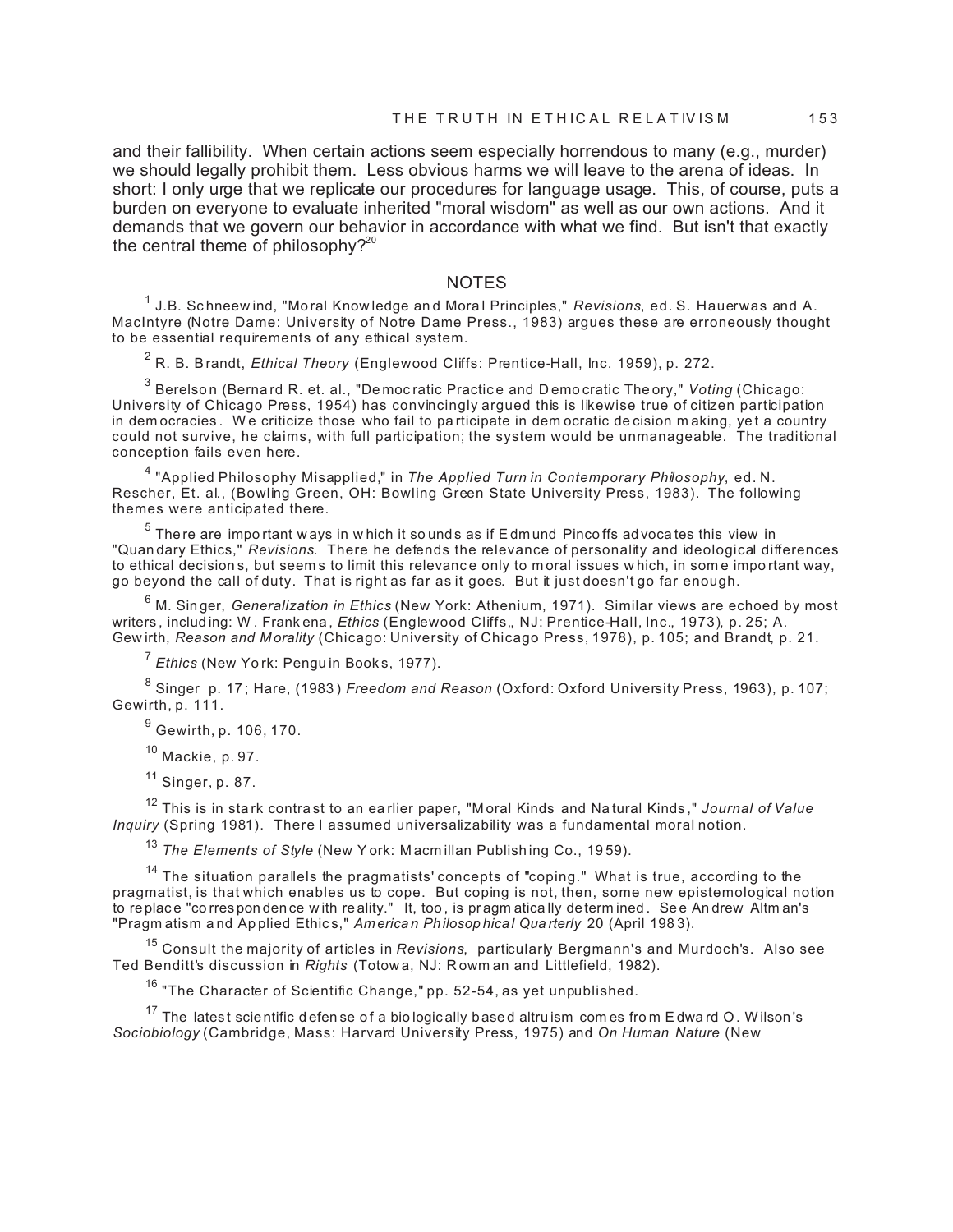and their fallibility. When certain actions seem especially horrendous to many (e.g., murder) we should legally prohibit them. Less obvious harms we will leave to the arena of ideas. In short: I only urge that we replicate our procedures for language usage. This, of course, puts a burden on everyone to evaluate inherited "moral wisdom" as well as our own actions. And it demands that we govern our behavior in accordance with what we find. But isn't that exactly the central theme of philosophy?<sup>20</sup>

### **NOTES**

<sup>1</sup> J.B. Schneewind, "Moral Knowledge and Moral Principles," *Revisions*, ed. S. Hauerwas and A. MacIntyre (Notre Dame: University of Notre Dame Press., 1983) argues these are erroneously thought to be essential requirements of any ethical system.

 $2$  R. B. Brandt, *Ethical Theory* (Englewood Cliffs: Prentice-Hall, Inc. 1959), p. 272.

 $^3$  Berelson (Bernard R. et. al., "Democratic Practice and Democratic Theory," Voting (Chicago: University of Chicago Press, 1954) has convincingly argued this is likewise true of citizen participation<br>in democracies. We criticize those who fail to participate in democratic decision making, yet a country<br>could not su conception fails even here.

<sup>4</sup> "Applied Philosophy Misapplied," in *The Applied Turn in Contemporary Philosophy*, ed. N. Rescher, Et. al., (Bowling Green, OH: Bowling Green State University Press, 1983). The following themes were anticipated there.

 $5$  The re are important ways in which it sounds as if  $E$  dmund Pincoffs advocates this view in "Quandary Ethics." Revisions. There he defends the relevance of personality and ideological differences to ethical decisions, but seems to limit this relevance only to moral issues which, in some important way, go beyond the call of duty. That is right as far as it goes. But it just doesn't go far enough.

 $6$  M. Singer, Generalization in Ethics (New York: Athenium, 1971). Similar views are echoed by most writers, including: W. Frankena, Ethics (Englewood Cliffs,, NJ: Prentice-Hall, Inc., 1973), p. 25; A. Gewirth, Reason and Morality (Chicago: University of Chicago Press, 1978), p. 105; and Brandt, p. 21.

<sup>7</sup> Ethics (New York: Penguin Books, 1977).

<sup>8</sup> Singer p. 17; Hare, (1983) Freedom and Reason (Oxford: Oxford University Press, 1963), p. 107; Gewirth, p. 111.

 $^{9}$  Gewirth, p. 106, 170.

 $10$  Mackie, p. 97.

 $11$  Singer, p. 87.

<sup>12</sup> This is in stark contrast to an earlier paper, "Moral Kinds and Natural Kinds," *Journal of Value Inquiry* (Spring 1981). There I assumed universalizability was a fundamental moral notion.

<sup>13</sup> The Elements of Style (New York: Macmillan Publishing Co., 1959).

<sup>14</sup> The situation parallels the pragmatists' concepts of "coping." What is true, according to the pragmatist, is that which enables us to cope. But coping is not, then, some new epistemological notion to replace "correspondence with reality." It, too, is pragmatically determined. See Andrew Altman's<br>"Pragmatism and Applied Ethics," American Philosophical Quarterly 20 (April 1983).

 $^{\rm 15}$  Consult the majority of articles in *Revisions*, particularly Bergmann's and Murdoch's. Also see Ted Benditt's discussion in Rights (Totowa, NJ: Rowman and Littlefield, 1982).

 $16$  "The Character of Scientific Change," pp. 52-54, as yet unpublished.

<sup>17</sup> The latest scientific defense of a biologically based altruism comes from Edward O. Wilson's Sociobiology (Cambridge, Mass: Harvard University Press, 1975) and On Human Nature (New